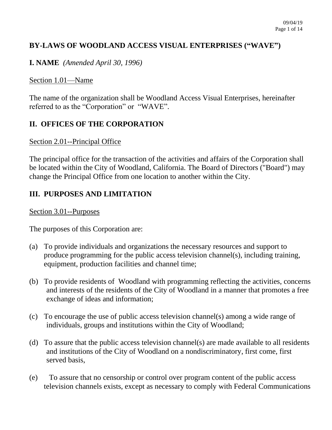## **BY-LAWS OF WOODLAND ACCESS VISUAL ENTERPRISES ("WAVE")**

**I. NAME** *(Amended April 30, 1996)*

#### Section 1.01—Name

The name of the organization shall be Woodland Access Visual Enterprises, hereinafter referred to as the "Corporation" or "WAVE".

## **II. OFFICES OF THE CORPORATION**

#### Section 2.01--Principal Office

The principal office for the transaction of the activities and affairs of the Corporation shall be located within the City of Woodland, California. The Board of Directors ("Board") may change the Principal Office from one location to another within the City.

## **III. PURPOSES AND LIMITATION**

Section 3.01--Purposes

The purposes of this Corporation are:

- (a) To provide individuals and organizations the necessary resources and support to produce programming for the public access television channel(s), including training, equipment, production facilities and channel time;
- (b) To provide residents of Woodland with programming reflecting the activities, concerns and interests of the residents of the City of Woodland in a manner that promotes a free exchange of ideas and information;
- (c) To encourage the use of public access television channel(s) among a wide range of individuals, groups and institutions within the City of Woodland;
- (d) To assure that the public access television channel(s) are made available to all residents and institutions of the City of Woodland on a nondiscriminatory, first come, first served basis,
- (e) To assure that no censorship or control over program content of the public access television channels exists, except as necessary to comply with Federal Communications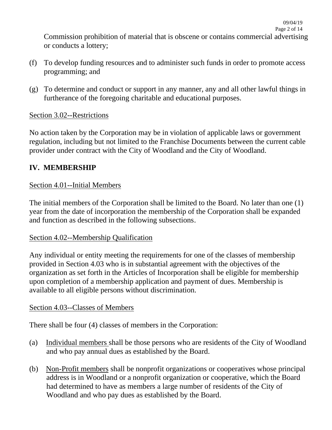Commission prohibition of material that is obscene or contains commercial advertising or conducts a lottery;

- (f) To develop funding resources and to administer such funds in order to promote access programming; and
- (g) To determine and conduct or support in any manner, any and all other lawful things in furtherance of the foregoing charitable and educational purposes.

#### Section 3.02--Restrictions

No action taken by the Corporation may be in violation of applicable laws or government regulation, including but not limited to the Franchise Documents between the current cable provider under contract with the City of Woodland and the City of Woodland.

## **IV. MEMBERSHIP**

#### Section 4.01--Initial Members

The initial members of the Corporation shall be limited to the Board. No later than one (1) year from the date of incorporation the membership of the Corporation shall be expanded and function as described in the following subsections.

#### Section 4.02--Membership Qualification

Any individual or entity meeting the requirements for one of the classes of membership provided in Section 4.03 who is in substantial agreement with the objectives of the organization as set forth in the Articles of Incorporation shall be eligible for membership upon completion of a membership application and payment of dues. Membership is available to all eligible persons without discrimination.

#### Section 4.03--Classes of Members

There shall be four (4) classes of members in the Corporation:

- (a) Individual members shall be those persons who are residents of the City of Woodland and who pay annual dues as established by the Board.
- (b) Non-Profit members shall be nonprofit organizations or cooperatives whose principal address is in Woodland or a nonprofit organization or cooperative, which the Board had determined to have as members a large number of residents of the City of Woodland and who pay dues as established by the Board.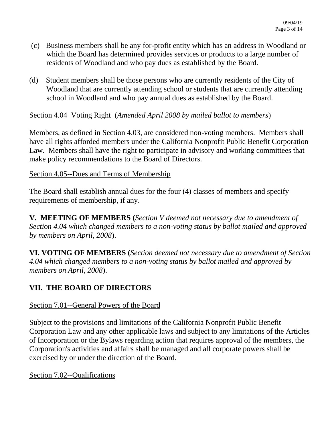- (c) Business members shall be any for-profit entity which has an address in Woodland or which the Board has determined provides services or products to a large number of residents of Woodland and who pay dues as established by the Board.
- (d) Student members shall be those persons who are currently residents of the City of Woodland that are currently attending school or students that are currently attending school in Woodland and who pay annual dues as established by the Board.

Section 4.04 Voting Right (*Amended April 2008 by mailed ballot to members*)

Members, as defined in Section 4.03, are considered non-voting members. Members shall have all rights afforded members under the California Nonprofit Public Benefit Corporation Law. Members shall have the right to participate in advisory and working committees that make policy recommendations to the Board of Directors.

#### Section 4.05--Dues and Terms of Membership

The Board shall establish annual dues for the four (4) classes of members and specify requirements of membership, if any.

**V. MEETING OF MEMBERS (***Section V deemed not necessary due to amendment of Section 4.04 which changed members to a non-voting status by ballot mailed and approved by members on April, 2008*).

**VI. VOTING OF MEMBERS (***Section deemed not necessary due to amendment of Section 4.04 which changed members to a non-voting status by ballot mailed and approved by members on April, 2008*).

## **VII. THE BOARD OF DIRECTORS**

#### Section 7.01--General Powers of the Board

Subject to the provisions and limitations of the California Nonprofit Public Benefit Corporation Law and any other applicable laws and subject to any limitations of the Articles of Incorporation or the Bylaws regarding action that requires approval of the members, the Corporation's activities and affairs shall be managed and all corporate powers shall be exercised by or under the direction of the Board.

Section 7.02--Qualifications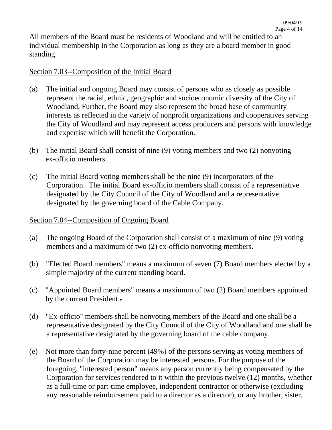All members of the Board must be residents of Woodland and will be entitled to an individual membership in the Corporation as long as they are a board member in good standing.

#### Section 7.03--Composition of the Initial Board

- (a) The initial and ongoing Board may consist of persons who as closely as possible represent the racial, ethnic, geographic and socioeconomic diversity of the City of Woodland. Further, the Board may also represent the broad base of community interests as reflected in the variety of nonprofit organizations and cooperatives serving the City of Woodland and may represent access producers and persons with knowledge and expertise which will benefit the Corporation.
- (b) The initial Board shall consist of nine (9) voting members and two (2) nonvoting ex-officio members.
- (c) The initial Board voting members shall be the nine (9) incorporators of the Corporation. The initial Board ex-officio members shall consist of a representative designated by the City Council of the City of Woodland and a representative designated by the governing board of the Cable Company.

#### Section 7.04--Composition of Ongoing Board

- (a) The ongoing Board of the Corporation shall consist of a maximum of nine (9) voting members and a maximum of two (2) ex-officio nonvoting members.
- (b) "Elected Board members" means a maximum of seven (7) Board members elected by a simple majority of the current standing board.
- (c) "Appointed Board members" means a maximum of two (2) Board members appointed by the current President..
- (d) "Ex-officio" members shall be nonvoting members of the Board and one shall be a representative designated by the City Council of the City of Woodland and one shall be a representative designated by the governing board of the cable company.
- (e) Not more than forty-nine percent (49%) of the persons serving as voting members of the Board of the Corporation may be interested persons. For the purpose of the foregoing, "interested person" means any person currently being compensated by the Corporation for services rendered to it within the previous twelve (12) months, whether as a full-time or part-time employee, independent contractor or otherwise (excluding any reasonable reimbursement paid to a director as a director), or any brother, sister,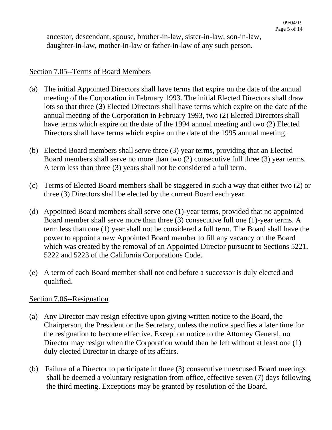ancestor, descendant, spouse, brother-in-law, sister-in-law, son-in-law, daughter-in-law, mother-in-law or father-in-law of any such person.

#### Section 7.05--Terms of Board Members

- (a) The initial Appointed Directors shall have terms that expire on the date of the annual meeting of the Corporation in February 1993. The initial Elected Directors shall draw lots so that three (3) Elected Directors shall have terms which expire on the date of the annual meeting of the Corporation in February 1993, two (2) Elected Directors shall have terms which expire on the date of the 1994 annual meeting and two (2) Elected Directors shall have terms which expire on the date of the 1995 annual meeting.
- (b) Elected Board members shall serve three (3) year terms, providing that an Elected Board members shall serve no more than two (2) consecutive full three (3) year terms. A term less than three (3) years shall not be considered a full term.
- (c) Terms of Elected Board members shall be staggered in such a way that either two (2) or three (3) Directors shall be elected by the current Board each year.
- (d) Appointed Board members shall serve one (1)-year terms, provided that no appointed Board member shall serve more than three (3) consecutive full one (1)-year terms. A term less than one (1) year shall not be considered a full term. The Board shall have the power to appoint a new Appointed Board member to fill any vacancy on the Board which was created by the removal of an Appointed Director pursuant to Sections 5221, 5222 and 5223 of the California Corporations Code.
- (e) A term of each Board member shall not end before a successor is duly elected and qualified.

#### Section 7.06--Resignation

- (a) Any Director may resign effective upon giving written notice to the Board, the Chairperson, the President or the Secretary, unless the notice specifies a later time for the resignation to become effective. Except on notice to the Attorney General, no Director may resign when the Corporation would then be left without at least one (1) duly elected Director in charge of its affairs.
- (b) Failure of a Director to participate in three (3) consecutive unexcused Board meetings shall be deemed a voluntary resignation from office, effective seven (7) days following the third meeting. Exceptions may be granted by resolution of the Board.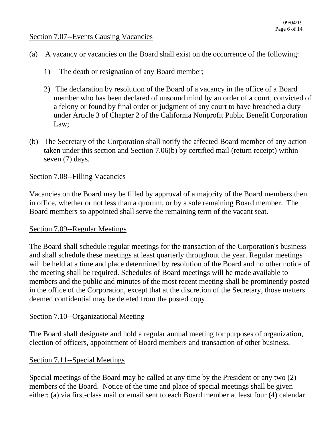#### Section 7.07--Events Causing Vacancies

- (a) A vacancy or vacancies on the Board shall exist on the occurrence of the following:
	- 1) The death or resignation of any Board member;
	- 2) The declaration by resolution of the Board of a vacancy in the office of a Board member who has been declared of unsound mind by an order of a court, convicted of a felony or found by final order or judgment of any court to have breached a duty under Article 3 of Chapter 2 of the California Nonprofit Public Benefit Corporation Law;
- (b) The Secretary of the Corporation shall notify the affected Board member of any action taken under this section and Section 7.06(b) by certified mail (return receipt) within seven (7) days.

#### Section 7.08--Filling Vacancies

Vacancies on the Board may be filled by approval of a majority of the Board members then in office, whether or not less than a quorum, or by a sole remaining Board member. The Board members so appointed shall serve the remaining term of the vacant seat.

#### Section 7.09--Regular Meetings

The Board shall schedule regular meetings for the transaction of the Corporation's business and shall schedule these meetings at least quarterly throughout the year. Regular meetings will be held at a time and place determined by resolution of the Board and no other notice of the meeting shall be required. Schedules of Board meetings will be made available to members and the public and minutes of the most recent meeting shall be prominently posted in the office of the Corporation, except that at the discretion of the Secretary, those matters deemed confidential may be deleted from the posted copy.

#### Section 7.10--Organizational Meeting

The Board shall designate and hold a regular annual meeting for purposes of organization, election of officers, appointment of Board members and transaction of other business.

#### Section 7.11--Special Meetings

Special meetings of the Board may be called at any time by the President or any two (2) members of the Board. Notice of the time and place of special meetings shall be given either: (a) via first-class mail or email sent to each Board member at least four (4) calendar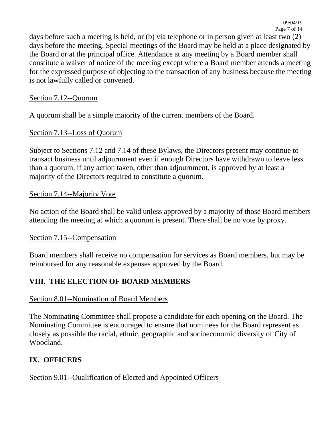days before such a meeting is held, or (b) via telephone or in person given at least two (2) days before the meeting. Special meetings of the Board may be held at a place designated by the Board or at the principal office. Attendance at any meeting by a Board member shall constitute a waiver of notice of the meeting except where a Board member attends a meeting for the expressed purpose of objecting to the transaction of any business because the meeting is not lawfully called or convened.

### Section 7.12--Quorum

A quorum shall be a simple majority of the current members of the Board.

## Section 7.13--Loss of Quorum

Subject to Sections 7.12 and 7.14 of these Bylaws, the Directors present may continue to transact business until adjournment even if enough Directors have withdrawn to leave less than a quorum, if any action taken, other than adjournment, is approved by at least a majority of the Directors required to constitute a quorum.

### Section 7.14--Majority Vote

No action of the Board shall be valid unless approved by a majority of those Board members attending the meeting at which a quorum is present. There shall be no vote by proxy.

#### Section 7.15--Compensation

Board members shall receive no compensation for services as Board members, but may be reimbursed for any reasonable expenses approved by the Board.

## **VIII. THE ELECTION OF BOARD MEMBERS**

#### Section 8.01--Nomination of Board Members

The Nominating Committee shall propose a candidate for each opening on the Board. The Nominating Committee is encouraged to ensure that nominees for the Board represent as closely as possible the racial, ethnic, geographic and socioeconomic diversity of City of Woodland.

## **IX. OFFICERS**

# Section 9.01--Oualification of Elected and Appointed Officers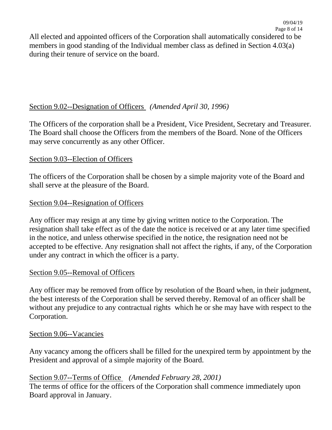## Section 9.02--Designation of Officers *(Amended April 30, 1996)*

The Officers of the corporation shall be a President, Vice President, Secretary and Treasurer. The Board shall choose the Officers from the members of the Board. None of the Officers may serve concurrently as any other Officer.

### Section 9.03--Election of Officers

The officers of the Corporation shall be chosen by a simple majority vote of the Board and shall serve at the pleasure of the Board.

### Section 9.04--Resignation of Officers

Any officer may resign at any time by giving written notice to the Corporation. The resignation shall take effect as of the date the notice is received or at any later time specified in the notice, and unless otherwise specified in the notice, the resignation need not be accepted to be effective. Any resignation shall not affect the rights, if any, of the Corporation under any contract in which the officer is a party.

#### Section 9.05--Removal of Officers

Any officer may be removed from office by resolution of the Board when, in their judgment, the best interests of the Corporation shall be served thereby. Removal of an officer shall be without any prejudice to any contractual rights which he or she may have with respect to the Corporation.

#### Section 9.06--Vacancies

Any vacancy among the officers shall be filled for the unexpired term by appointment by the President and approval of a simple majority of the Board.

## Section 9.07--Terms of Office *(Amended February 28, 2001)*

The terms of office for the officers of the Corporation shall commence immediately upon Board approval in January.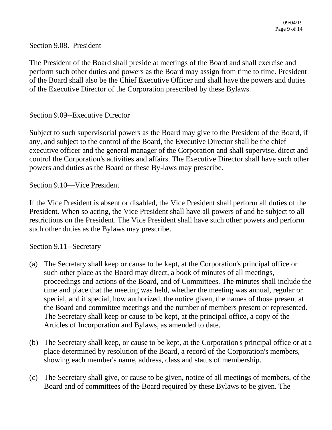#### Section 9.08. President

The President of the Board shall preside at meetings of the Board and shall exercise and perform such other duties and powers as the Board may assign from time to time. President of the Board shall also be the Chief Executive Officer and shall have the powers and duties of the Executive Director of the Corporation prescribed by these Bylaws.

#### Section 9.09--Executive Director

Subject to such supervisorial powers as the Board may give to the President of the Board, if any, and subject to the control of the Board, the Executive Director shall be the chief executive officer and the general manager of the Corporation and shall supervise, direct and control the Corporation's activities and affairs. The Executive Director shall have such other powers and duties as the Board or these By-laws may prescribe.

#### Section 9.10—Vice President

If the Vice President is absent or disabled, the Vice President shall perform all duties of the President. When so acting, the Vice President shall have all powers of and be subject to all restrictions on the President. The Vice President shall have such other powers and perform such other duties as the Bylaws may prescribe.

#### Section 9.11--Secretary

- (a) The Secretary shall keep or cause to be kept, at the Corporation's principal office or such other place as the Board may direct, a book of minutes of all meetings, proceedings and actions of the Board, and of Committees. The minutes shall include the time and place that the meeting was held, whether the meeting was annual, regular or special, and if special, how authorized, the notice given, the names of those present at the Board and committee meetings and the number of members present or represented. The Secretary shall keep or cause to be kept, at the principal office, a copy of the Articles of Incorporation and Bylaws, as amended to date.
- (b) The Secretary shall keep, or cause to be kept, at the Corporation's principal office or at a place determined by resolution of the Board, a record of the Corporation's members, showing each member's name, address, class and status of membership.
- (c) The Secretary shall give, or cause to be given, notice of all meetings of members, of the Board and of committees of the Board required by these Bylaws to be given. The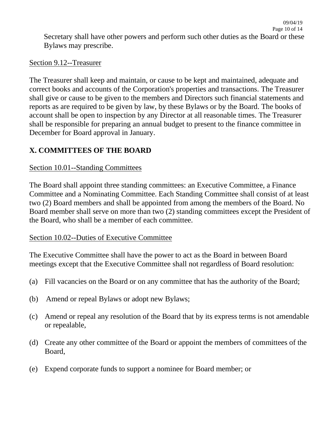09/04/19

## Section 9.12--Treasurer

The Treasurer shall keep and maintain, or cause to be kept and maintained, adequate and correct books and accounts of the Corporation's properties and transactions. The Treasurer shall give or cause to be given to the members and Directors such financial statements and reports as are required to be given by law, by these Bylaws or by the Board. The books of account shall be open to inspection by any Director at all reasonable times. The Treasurer shall be responsible for preparing an annual budget to present to the finance committee in December for Board approval in January.

# **X. COMMITTEES OF THE BOARD**

## Section 10.01--Standing Committees

The Board shall appoint three standing committees: an Executive Committee, a Finance Committee and a Nominating Committee. Each Standing Committee shall consist of at least two (2) Board members and shall be appointed from among the members of the Board. No Board member shall serve on more than two (2) standing committees except the President of the Board, who shall be a member of each committee.

## Section 10.02--Duties of Executive Committee

The Executive Committee shall have the power to act as the Board in between Board meetings except that the Executive Committee shall not regardless of Board resolution:

- (a) Fill vacancies on the Board or on any committee that has the authority of the Board;
- (b) Amend or repeal Bylaws or adopt new Bylaws;
- (c) Amend or repeal any resolution of the Board that by its express terms is not amendable or repealable,
- (d) Create any other committee of the Board or appoint the members of committees of the Board,
- (e) Expend corporate funds to support a nominee for Board member; or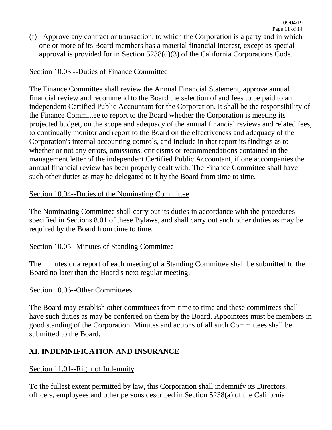Page 11 of 14 (f) Approve any contract or transaction, to which the Corporation is a party and in which one or more of its Board members has a material financial interest, except as special approval is provided for in Section 5238(d)(3) of the California Corporations Code.

09/04/19

### Section 10.03 --Duties of Finance Committee

The Finance Committee shall review the Annual Financial Statement, approve annual financial review and recommend to the Board the selection of and fees to be paid to an independent Certified Public Accountant for the Corporation. It shall be the responsibility of the Finance Committee to report to the Board whether the Corporation is meeting its projected budget, on the scope and adequacy of the annual financial reviews and related fees, to continually monitor and report to the Board on the effectiveness and adequacy of the Corporation's internal accounting controls, and include in that report its findings as to whether or not any errors, omissions, criticisms or recommendations contained in the management letter of the independent Certified Public Accountant, if one accompanies the annual financial review has been properly dealt with. The Finance Committee shall have such other duties as may be delegated to it by the Board from time to time.

### Section 10.04--Duties of the Nominating Committee

The Nominating Committee shall carry out its duties in accordance with the procedures specified in Sections 8.01 of these Bylaws, and shall carry out such other duties as may be required by the Board from time to time.

#### Section 10.05--Minutes of Standing Committee

The minutes or a report of each meeting of a Standing Committee shall be submitted to the Board no later than the Board's next regular meeting.

#### Section 10.06--Other Committees

The Board may establish other committees from time to time and these committees shall have such duties as may be conferred on them by the Board. Appointees must be members in good standing of the Corporation. Minutes and actions of all such Committees shall be submitted to the Board.

## **XI. INDEMNIFICATION AND INSURANCE**

#### Section 11.01--Right of Indemnity

To the fullest extent permitted by law, this Corporation shall indemnify its Directors, officers, employees and other persons described in Section 5238(a) of the California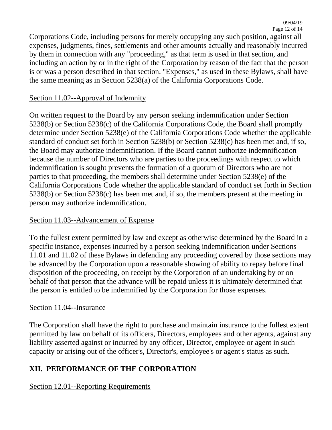Corporations Code, including persons for merely occupying any such position, against all expenses, judgments, fines, settlements and other amounts actually and reasonably incurred by them in connection with any "proceeding," as that term is used in that section, and including an action by or in the right of the Corporation by reason of the fact that the person is or was a person described in that section. "Expenses," as used in these Bylaws, shall have the same meaning as in Section 5238(a) of the California Corporations Code.

### Section 11.02--Approval of Indemnity

On written request to the Board by any person seeking indemnification under Section 5238(b) or Section 5238(c) of the California Corporations Code, the Board shall promptly determine under Section 5238(e) of the California Corporations Code whether the applicable standard of conduct set forth in Section 5238(b) or Section 5238(c) has been met and, if so, the Board may authorize indemnification. If the Board cannot authorize indemnification because the number of Directors who are parties to the proceedings with respect to which indemnification is sought prevents the formation of a quorum of Directors who are not parties to that proceeding, the members shall determine under Section 5238(e) of the California Corporations Code whether the applicable standard of conduct set forth in Section 5238(b) or Section 5238(c) has been met and, if so, the members present at the meeting in person may authorize indemnification.

#### Section 11.03--Advancement of Expense

To the fullest extent permitted by law and except as otherwise determined by the Board in a specific instance, expenses incurred by a person seeking indemnification under Sections 11.01 and 11.02 of these Bylaws in defending any proceeding covered by those sections may be advanced by the Corporation upon a reasonable showing of ability to repay before final disposition of the proceeding, on receipt by the Corporation of an undertaking by or on behalf of that person that the advance will be repaid unless it is ultimately determined that the person is entitled to be indemnified by the Corporation for those expenses.

#### Section 11.04--Insurance

The Corporation shall have the right to purchase and maintain insurance to the fullest extent permitted by law on behalf of its officers, Directors, employees and other agents, against any liability asserted against or incurred by any officer, Director, employee or agent in such capacity or arising out of the officer's, Director's, employee's or agent's status as such.

## **XII. PERFORMANCE OF THE CORPORATION**

## Section 12.01--Reporting Requirements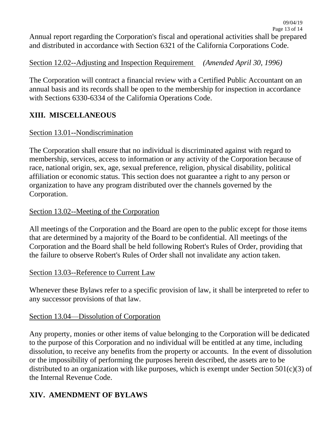Section 12.02--Adjusting and Inspection Requirement *(Amended April 30, 1996)*

The Corporation will contract a financial review with a Certified Public Accountant on an annual basis and its records shall be open to the membership for inspection in accordance with Sections 6330-6334 of the California Operations Code.

# **XIII. MISCELLANEOUS**

## Section 13.01--Nondiscrimination

The Corporation shall ensure that no individual is discriminated against with regard to membership, services, access to information or any activity of the Corporation because of race, national origin, sex, age, sexual preference, religion, physical disability, political affiliation or economic status. This section does not guarantee a right to any person or organization to have any program distributed over the channels governed by the Corporation.

## Section 13.02--Meeting of the Corporation

All meetings of the Corporation and the Board are open to the public except for those items that are determined by a majority of the Board to be confidential. All meetings of the Corporation and the Board shall be held following Robert's Rules of Order, providing that the failure to observe Robert's Rules of Order shall not invalidate any action taken.

## Section 13.03--Reference to Current Law

Whenever these Bylaws refer to a specific provision of law, it shall be interpreted to refer to any successor provisions of that law.

## Section 13.04—Dissolution of Corporation

Any property, monies or other items of value belonging to the Corporation will be dedicated to the purpose of this Corporation and no individual will be entitled at any time, including dissolution, to receive any benefits from the property or accounts. In the event of dissolution or the impossibility of performing the purposes herein described, the assets are to be distributed to an organization with like purposes, which is exempt under Section  $501(c)(3)$  of the Internal Revenue Code.

# **XIV. AMENDMENT OF BYLAWS**